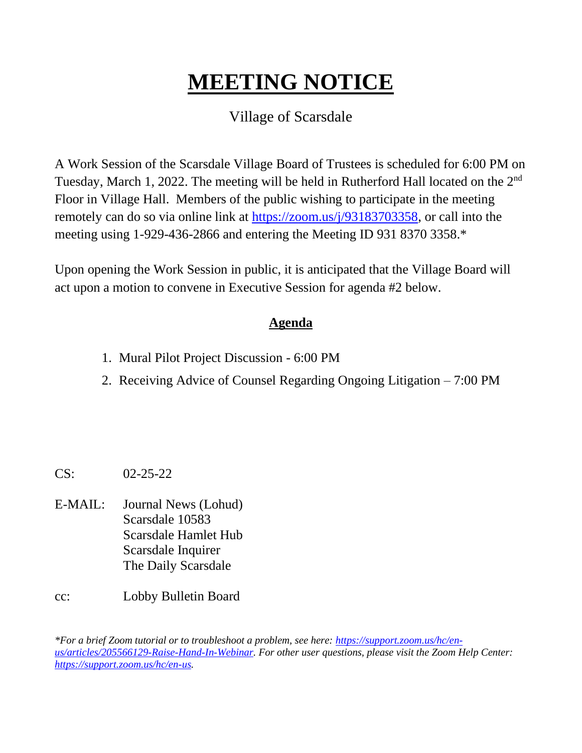# **MEETING NOTICE** Ι

## Village of Scarsdale

A Work Session of the Scarsdale Village Board of Trustees is scheduled for 6:00 PM on Tuesday, March 1, 2022. The meeting will be held in Rutherford Hall located on the 2<sup>nd</sup> Floor in Village Hall. Members of the public wishing to participate in the meeting remotely can do so via online link at [https://zoom.us/j/93183703358,](https://zoom.us/j/93183703358) or call into the meeting using 1-929-436-2866 and entering the Meeting ID 931 8370 3358.\*

Upon opening the Work Session in public, it is anticipated that the Village Board will act upon a motion to convene in Executive Session for agenda #2 below.

### **Agenda**

- 1. Mural Pilot Project Discussion 6:00 PM
- 2. Receiving Advice of Counsel Regarding Ongoing Litigation 7:00 PM

- CS: 02-25-22
- E-MAIL: Journal News (Lohud) Scarsdale 10583 Scarsdale Hamlet Hub Scarsdale Inquirer The Daily Scarsdale
- cc: Lobby Bulletin Board

*\*For a brief Zoom tutorial or to troubleshoot a problem, see here: [https://support.zoom.us/hc/en](https://support.zoom.us/hc/en-us/articles/205566129-Raise-Hand-In-Webinar)[us/articles/205566129-Raise-Hand-In-Webinar.](https://support.zoom.us/hc/en-us/articles/205566129-Raise-Hand-In-Webinar) For other user questions, please visit the Zoom Help Center: [https://support.zoom.us/hc/en-us.](https://support.zoom.us/hc/en-us)*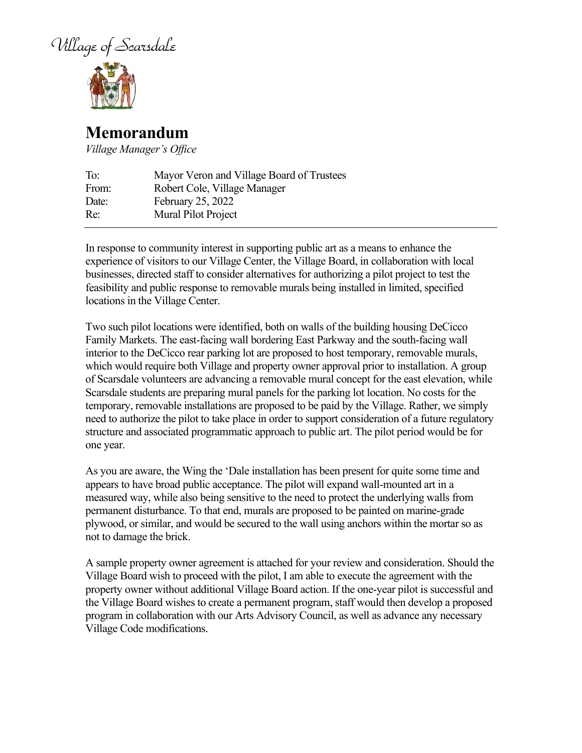Village of Scarsdale



### **Memorandum**

*Village Manager's Office*

| Mayor Veron and Village Board of Trustees |
|-------------------------------------------|
|                                           |
|                                           |
|                                           |
|                                           |

In response to community interest in supporting public art as a means to enhance the experience of visitors to our Village Center, the Village Board, in collaboration with local businesses, directed staff to consider alternatives for authorizing a pilot project to test the feasibility and public response to removable murals being installed in limited, specified locations in the Village Center.

Two such pilot locations were identified, both on walls of the building housing DeCicco Family Markets. The east-facing wall bordering East Parkway and the south-facing wall interior to the DeCicco rear parking lot are proposed to host temporary, removable murals, which would require both Village and property owner approval prior to installation. A group of Scarsdale volunteers are advancing a removable mural concept for the east elevation, while Scarsdale students are preparing mural panels for the parking lot location. No costs for the temporary, removable installations are proposed to be paid by the Village. Rather, we simply need to authorize the pilot to take place in order to support consideration of a future regulatory structure and associated programmatic approach to public art. The pilot period would be for one year.

As you are aware, the Wing the 'Dale installation has been present for quite some time and appears to have broad public acceptance. The pilot will expand wall-mounted art in a measured way, while also being sensitive to the need to protect the underlying walls from permanent disturbance. To that end, murals are proposed to be painted on marine-grade plywood, or similar, and would be secured to the wall using anchors within the mortar so as not to damage the brick.

A sample property owner agreement is attached for your review and consideration. Should the Village Board wish to proceed with the pilot, I am able to execute the agreement with the property owner without additional Village Board action. If the one-year pilot is successful and the Village Board wishes to create a permanent program, staff would then develop a proposed program in collaboration with our Arts Advisory Council, as well as advance any necessary Village Code modifications.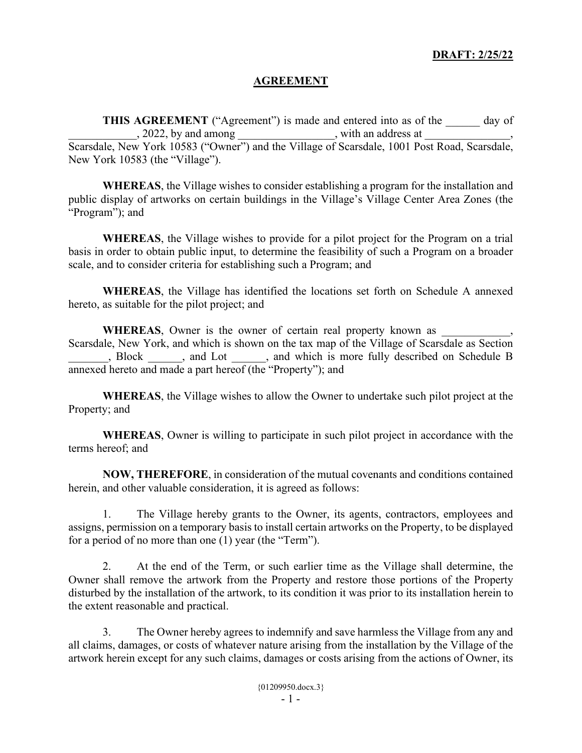#### **DRAFT: 2/25/22**

#### **AGREEMENT**

**THIS AGREEMENT** ("Agreement") is made and entered into as of the \_\_\_\_\_\_ day of  $\frac{1}{2022}$ , by and among  $\frac{1}{2022}$ , with an address at  $\frac{1}{202}$ ,

Scarsdale, New York 10583 ("Owner") and the Village of Scarsdale, 1001 Post Road, Scarsdale, New York 10583 (the "Village").

**WHEREAS**, the Village wishes to consider establishing a program for the installation and public display of artworks on certain buildings in the Village's Village Center Area Zones (the "Program"); and

**WHEREAS**, the Village wishes to provide for a pilot project for the Program on a trial basis in order to obtain public input, to determine the feasibility of such a Program on a broader scale, and to consider criteria for establishing such a Program; and

**WHEREAS**, the Village has identified the locations set forth on Schedule A annexed hereto, as suitable for the pilot project; and

WHEREAS, Owner is the owner of certain real property known as Scarsdale, New York, and which is shown on the tax map of the Village of Scarsdale as Section \_\_\_\_\_\_\_, Block \_\_\_\_\_\_, and Lot \_\_\_\_\_\_, and which is more fully described on Schedule B annexed hereto and made a part hereof (the "Property"); and

**WHEREAS**, the Village wishes to allow the Owner to undertake such pilot project at the Property; and

**WHEREAS**, Owner is willing to participate in such pilot project in accordance with the terms hereof; and

**NOW, THEREFORE**, in consideration of the mutual covenants and conditions contained herein, and other valuable consideration, it is agreed as follows:

1. The Village hereby grants to the Owner, its agents, contractors, employees and assigns, permission on a temporary basis to install certain artworks on the Property, to be displayed for a period of no more than one (1) year (the "Term").

2. At the end of the Term, or such earlier time as the Village shall determine, the Owner shall remove the artwork from the Property and restore those portions of the Property disturbed by the installation of the artwork, to its condition it was prior to its installation herein to the extent reasonable and practical.

3. The Owner hereby agrees to indemnify and save harmless the Village from any and all claims, damages, or costs of whatever nature arising from the installation by the Village of the artwork herein except for any such claims, damages or costs arising from the actions of Owner, its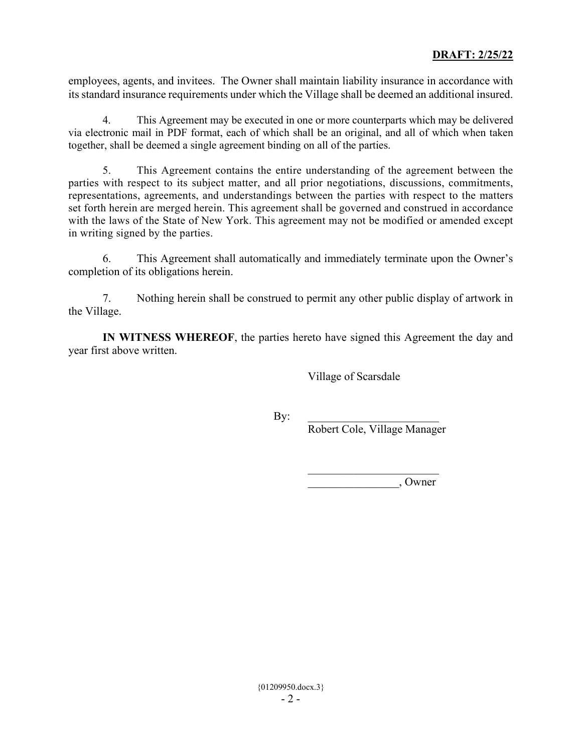employees, agents, and invitees. The Owner shall maintain liability insurance in accordance with its standard insurance requirements under which the Village shall be deemed an additional insured.

4. This Agreement may be executed in one or more counterparts which may be delivered via electronic mail in PDF format, each of which shall be an original, and all of which when taken together, shall be deemed a single agreement binding on all of the parties.

5. This Agreement contains the entire understanding of the agreement between the parties with respect to its subject matter, and all prior negotiations, discussions, commitments, representations, agreements, and understandings between the parties with respect to the matters set forth herein are merged herein. This agreement shall be governed and construed in accordance with the laws of the State of New York. This agreement may not be modified or amended except in writing signed by the parties.

6. This Agreement shall automatically and immediately terminate upon the Owner's completion of its obligations herein.

7. Nothing herein shall be construed to permit any other public display of artwork in the Village.

**IN WITNESS WHEREOF**, the parties hereto have signed this Agreement the day and year first above written.

Village of Scarsdale

 $By:$ 

Robert Cole, Village Manager

 $\overline{\phantom{a}}$ \_\_\_\_\_\_\_\_\_\_\_\_\_\_\_\_, Owner